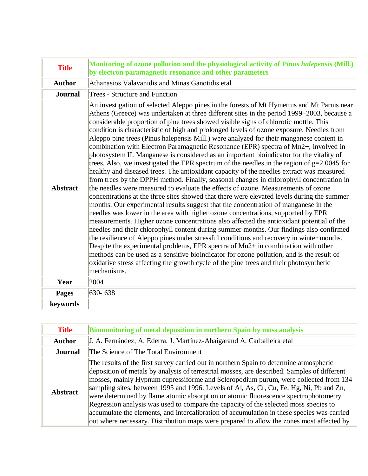| <b>Title</b>    | Monitoring of ozone pollution and the physiological activity of Pinus halepensis (Mill.)<br>by electron paramagnetic resonance and other parameters                                                                                                                                                                                                                                                                                                                                                                                                                                                                                                                                                                                                                                                                                                                                                                                                                                                                                                                                                                                                                                                                                                                                                                                                                                                                                                                                                                                                                                                                                                                                                                                                                                                                                                                                           |
|-----------------|-----------------------------------------------------------------------------------------------------------------------------------------------------------------------------------------------------------------------------------------------------------------------------------------------------------------------------------------------------------------------------------------------------------------------------------------------------------------------------------------------------------------------------------------------------------------------------------------------------------------------------------------------------------------------------------------------------------------------------------------------------------------------------------------------------------------------------------------------------------------------------------------------------------------------------------------------------------------------------------------------------------------------------------------------------------------------------------------------------------------------------------------------------------------------------------------------------------------------------------------------------------------------------------------------------------------------------------------------------------------------------------------------------------------------------------------------------------------------------------------------------------------------------------------------------------------------------------------------------------------------------------------------------------------------------------------------------------------------------------------------------------------------------------------------------------------------------------------------------------------------------------------------|
| <b>Author</b>   | Athanasios Valavanidis and Minas Ganotidis etal                                                                                                                                                                                                                                                                                                                                                                                                                                                                                                                                                                                                                                                                                                                                                                                                                                                                                                                                                                                                                                                                                                                                                                                                                                                                                                                                                                                                                                                                                                                                                                                                                                                                                                                                                                                                                                               |
| <b>Journal</b>  | <b>Trees - Structure and Function</b>                                                                                                                                                                                                                                                                                                                                                                                                                                                                                                                                                                                                                                                                                                                                                                                                                                                                                                                                                                                                                                                                                                                                                                                                                                                                                                                                                                                                                                                                                                                                                                                                                                                                                                                                                                                                                                                         |
| <b>Abstract</b> | An investigation of selected Aleppo pines in the forests of Mt Hymettus and Mt Parnis near<br>Athens (Greece) was undertaken at three different sites in the period 1999–2003, because a<br>considerable proportion of pine trees showed visible signs of chlorotic mottle. This<br>condition is characteristic of high and prolonged levels of ozone exposure. Needles from<br>Aleppo pine trees (Pinus halepensis Mill.) were analyzed for their manganese content in<br>combination with Electron Paramagnetic Resonance (EPR) spectra of Mn2+, involved in<br>photosystem II. Manganese is considered as an important bioindicator for the vitality of<br>trees. Also, we investigated the EPR spectrum of the needles in the region of $g=2.0045$ for<br>healthy and diseased trees. The antioxidant capacity of the needles extract was measured<br>from trees by the DPPH method. Finally, seasonal changes in chlorophyll concentration in<br>the needles were measured to evaluate the effects of ozone. Measurements of ozone<br>concentrations at the three sites showed that there were elevated levels during the summer<br>months. Our experimental results suggest that the concentration of manganese in the<br>needles was lower in the area with higher ozone concentrations, supported by EPR<br>measurements. Higher ozone concentrations also affected the antioxidant potential of the<br>needles and their chlorophyll content during summer months. Our findings also confirmed<br>the resilience of Aleppo pines under stressful conditions and recovery in winter months.<br>Despite the experimental problems, EPR spectra of Mn2+ in combination with other<br>methods can be used as a sensitive bioindicator for ozone pollution, and is the result of<br>oxidative stress affecting the growth cycle of the pine trees and their photosynthetic<br>mechanisms. |
| Year            | 2004                                                                                                                                                                                                                                                                                                                                                                                                                                                                                                                                                                                                                                                                                                                                                                                                                                                                                                                                                                                                                                                                                                                                                                                                                                                                                                                                                                                                                                                                                                                                                                                                                                                                                                                                                                                                                                                                                          |
| <b>Pages</b>    | 630-638                                                                                                                                                                                                                                                                                                                                                                                                                                                                                                                                                                                                                                                                                                                                                                                                                                                                                                                                                                                                                                                                                                                                                                                                                                                                                                                                                                                                                                                                                                                                                                                                                                                                                                                                                                                                                                                                                       |
| keywords        |                                                                                                                                                                                                                                                                                                                                                                                                                                                                                                                                                                                                                                                                                                                                                                                                                                                                                                                                                                                                                                                                                                                                                                                                                                                                                                                                                                                                                                                                                                                                                                                                                                                                                                                                                                                                                                                                                               |

| <b>Title</b>    | <b>Biomonitoring of metal deposition in northern Spain by moss analysis</b>                                                                                                                                                                                                                                                                                                                                                                                                                                                                                                                                                                                                                                                                       |
|-----------------|---------------------------------------------------------------------------------------------------------------------------------------------------------------------------------------------------------------------------------------------------------------------------------------------------------------------------------------------------------------------------------------------------------------------------------------------------------------------------------------------------------------------------------------------------------------------------------------------------------------------------------------------------------------------------------------------------------------------------------------------------|
| <b>Author</b>   | J. A. Fernández, A. Ederra, J. Martínez-Abaigarand A. Carballeira etal                                                                                                                                                                                                                                                                                                                                                                                                                                                                                                                                                                                                                                                                            |
| <b>Journal</b>  | The Science of The Total Environment                                                                                                                                                                                                                                                                                                                                                                                                                                                                                                                                                                                                                                                                                                              |
| <b>Abstract</b> | The results of the first survey carried out in northern Spain to determine atmospheric<br>deposition of metals by analysis of terrestrial mosses, are described. Samples of different<br>mosses, mainly Hypnum cupressiforme and Scleropodium purum, were collected from 134<br>sampling sites, between 1995 and 1996. Levels of Al, As, Cr, Cu, Fe, Hg, Ni, Pb and Zn,<br>were determined by flame atomic absorption or atomic fluorescence spectrophotometry.<br>Regression analysis was used to compare the capacity of the selected moss species to<br>accumulate the elements, and intercalibration of accumulation in these species was carried<br>out where necessary. Distribution maps were prepared to allow the zones most affected by |